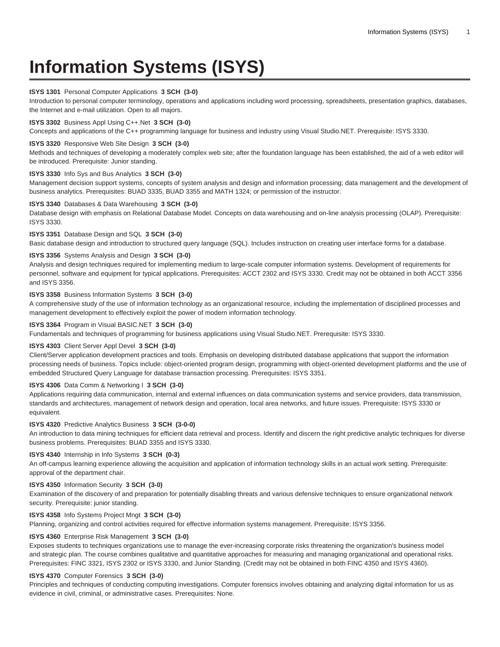# **Information Systems (ISYS)**

## **ISYS 1301** Personal Computer Applications **3 SCH (3-0)**

Introduction to personal computer terminology, operations and applications including word processing, spreadsheets, presentation graphics, databases, the Internet and e-mail utilization. Open to all majors.

# **ISYS 3302** Business Appl Using C++.Net **3 SCH (3-0)**

Concepts and applications of the C++ programming language for business and industry using Visual Studio.NET. Prerequisite: ISYS 3330.

# **ISYS 3320** Responsive Web Site Design **3 SCH (3-0)**

Methods and techniques of developing a moderately complex web site; after the foundation language has been established, the aid of a web editor will be introduced. Prerequisite: Junior standing.

## **ISYS 3330** Info Sys and Bus Analytics **3 SCH (3-0)**

Management decision support systems, concepts of system analysis and design and information processing; data management and the development of business analytics. Prerequisites: BUAD 3335, BUAD 3355 and MATH 1324; or permission of the instructor.

#### **ISYS 3340** Databases & Data Warehousing **3 SCH (3-0)**

Database design with emphasis on Relational Database Model. Concepts on data warehousing and on-line analysis processing (OLAP). Prerequisite: ISYS 3330.

#### **ISYS 3351** Database Design and SQL **3 SCH (3-0)**

Basic database design and introduction to structured query language (SQL). Includes instruction on creating user interface forms for a database.

## **ISYS 3356** Systems Analysis and Design **3 SCH (3-0)**

Analysis and design techniques required for implementing medium to large-scale computer information systems. Development of requirements for personnel, software and equipment for typical applications. Prerequisites: ACCT 2302 and ISYS 3330. Credit may not be obtained in both ACCT 3356 and ISYS 3356.

#### **ISYS 3358** Business Information Systems **3 SCH (3-0)**

A comprehensive study of the use of information technology as an organizational resource, including the implementation of disciplined processes and management development to effectively exploit the power of modern information technology.

# **ISYS 3364** Program in Visual BASIC.NET **3 SCH (3-0)**

Fundamentals and techniques of programming for business applications using Visual Studio.NET. Prerequisite: ISYS 3330.

# **ISYS 4303** Client Server Appl Devel **3 SCH (3-0)**

Client/Server application development practices and tools. Emphasis on developing distributed database applications that support the information processing needs of business. Topics include: object-oriented program design, programming with object-oriented development platforms and the use of embedded Structured Query Language for database transaction processing. Prerequisites: ISYS 3351.

## **ISYS 4306** Data Comm & Networking I **3 SCH (3-0)**

Applications requiring data communication, internal and external influences on data communication systems and service providers, data transmission, standards and architectures, management of network design and operation, local area networks, and future issues. Prerequisite: ISYS 3330 or equivalent.

## **ISYS 4320** Predictive Analytics Business **3 SCH (3-0-0)**

An introduction to data mining techniques for efficient data retrieval and process. Identify and discern the right predictive analytic techniques for diverse business problems. Prerequisites: BUAD 3355 and ISYS 3330.

#### **ISYS 4340** Internship in Info Systems **3 SCH (0-3)**

An off-campus learning experience allowing the acquisition and application of information technology skills in an actual work setting. Prerequisite: approval of the department chair.

## **ISYS 4350** Information Security **3 SCH (3-0)**

Examination of the discovery of and preparation for potentially disabling threats and various defensive techniques to ensure organizational network security. Prerequisite: junior standing.

## **ISYS 4358** Info Systems Project Mngt **3 SCH (3-0)**

Planning, organizing and control activities required for effective information systems management. Prerequisite: ISYS 3356.

# **ISYS 4360** Enterprise Risk Management **3 SCH (3-0)**

Exposes students to techniques organizations use to manage the ever-increasing corporate risks threatening the organization's business model and strategic plan. The course combines qualitative and quantitative approaches for measuring and managing organizational and operational risks. Prerequisites: FINC 3321, ISYS 2302 or ISYS 3330, and Junior Standing. (Credit may not be obtained in both FINC 4350 and ISYS 4360).

# **ISYS 4370** Computer Forensics **3 SCH (3-0)**

Principles and techniques of conducting computing investigations. Computer forensics involves obtaining and analyzing digital information for us as evidence in civil, criminal, or administrative cases. Prerequisites: None.